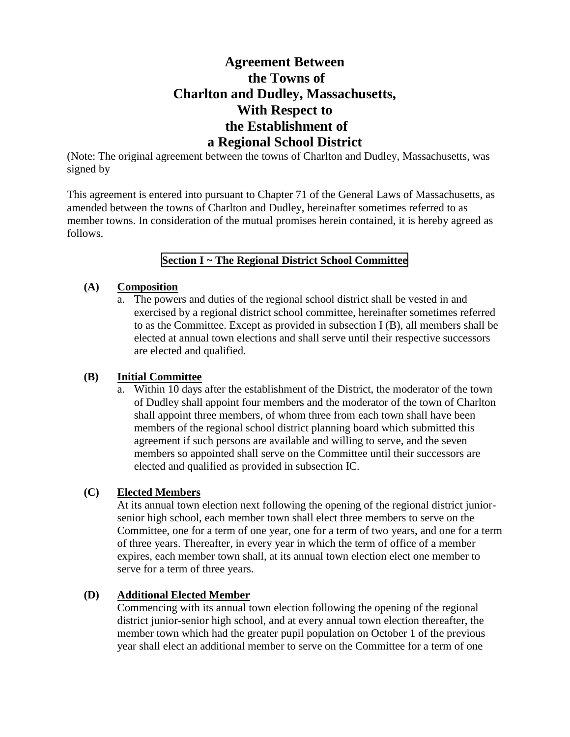# **Agreement Between the Towns of Charlton and Dudley, Massachusetts, With Respect to the Establishment of a Regional School District**

(Note: The original agreement between the towns of Charlton and Dudley, Massachusetts, was signed by

This agreement is entered into pursuant to Chapter 71 of the General Laws of Massachusetts, as amended between the towns of Charlton and Dudley, hereinafter sometimes referred to as member towns. In consideration of the mutual promises herein contained, it is hereby agreed as follows.

## **Section I ~ The Regional District School Committee**

### **(A) Composition**

a. The powers and duties of the regional school district shall be vested in and exercised by a regional district school committee, hereinafter sometimes referred to as the Committee. Except as provided in subsection I (B), all members shall be elected at annual town elections and shall serve until their respective successors are elected and qualified.

## **(B) Initial Committee**

a. Within 10 days after the establishment of the District, the moderator of the town of Dudley shall appoint four members and the moderator of the town of Charlton shall appoint three members, of whom three from each town shall have been members of the regional school district planning board which submitted this agreement if such persons are available and willing to serve, and the seven members so appointed shall serve on the Committee until their successors are elected and qualified as provided in subsection IC.

## **(C) Elected Members**

At its annual town election next following the opening of the regional district juniorsenior high school, each member town shall elect three members to serve on the Committee, one for a term of one year, one for a term of two years, and one for a term of three years. Thereafter, in every year in which the term of office of a member expires, each member town shall, at its annual town election elect one member to serve for a term of three years.

## **(D) Additional Elected Member**

Commencing with its annual town election following the opening of the regional district junior-senior high school, and at every annual town election thereafter, the member town which had the greater pupil population on October 1 of the previous year shall elect an additional member to serve on the Committee for a term of one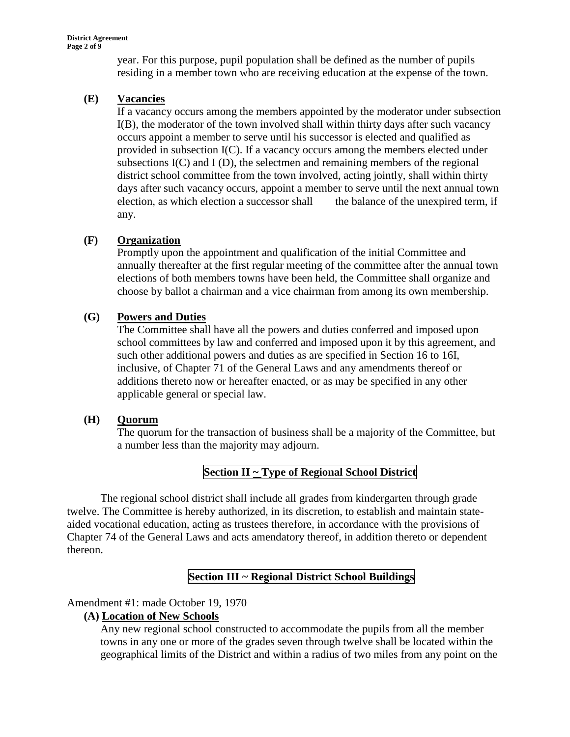year. For this purpose, pupil population shall be defined as the number of pupils residing in a member town who are receiving education at the expense of the town.

## **(E) Vacancies**

If a vacancy occurs among the members appointed by the moderator under subsection I(B), the moderator of the town involved shall within thirty days after such vacancy occurs appoint a member to serve until his successor is elected and qualified as provided in subsection  $I(C)$ . If a vacancy occurs among the members elected under subsections  $I(C)$  and  $I(D)$ , the selectmen and remaining members of the regional district school committee from the town involved, acting jointly, shall within thirty days after such vacancy occurs, appoint a member to serve until the next annual town election, as which election a successor shall the balance of the unexpired term, if any.

## **(F) Organization**

Promptly upon the appointment and qualification of the initial Committee and annually thereafter at the first regular meeting of the committee after the annual town elections of both members towns have been held, the Committee shall organize and choose by ballot a chairman and a vice chairman from among its own membership.

## **(G) Powers and Duties**

The Committee shall have all the powers and duties conferred and imposed upon school committees by law and conferred and imposed upon it by this agreement, and such other additional powers and duties as are specified in Section 16 to 16I, inclusive, of Chapter 71 of the General Laws and any amendments thereof or additions thereto now or hereafter enacted, or as may be specified in any other applicable general or special law.

## **(H) Quorum**

The quorum for the transaction of business shall be a majority of the Committee, but a number less than the majority may adjourn.

## **Section II ~ Type of Regional School District**

The regional school district shall include all grades from kindergarten through grade twelve. The Committee is hereby authorized, in its discretion, to establish and maintain stateaided vocational education, acting as trustees therefore, in accordance with the provisions of Chapter 74 of the General Laws and acts amendatory thereof, in addition thereto or dependent thereon.

## **Section III ~ Regional District School Buildings**

## Amendment #1: made October 19, 1970

## **(A) Location of New Schools**

Any new regional school constructed to accommodate the pupils from all the member towns in any one or more of the grades seven through twelve shall be located within the geographical limits of the District and within a radius of two miles from any point on the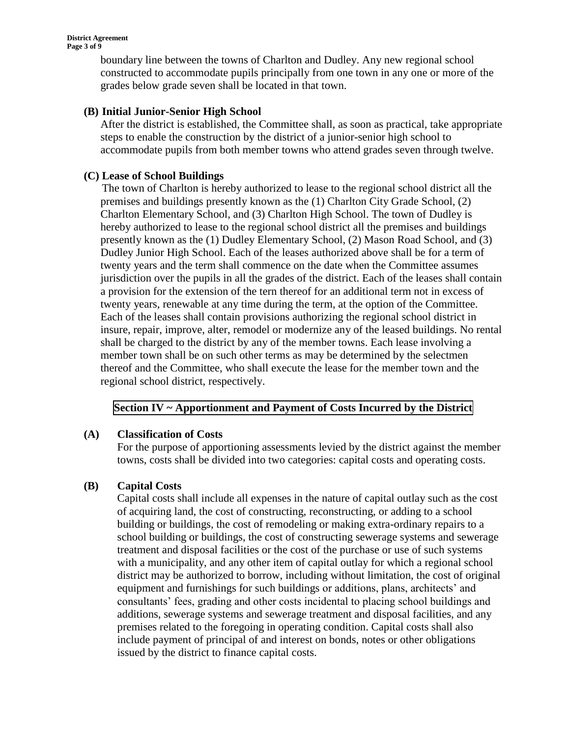boundary line between the towns of Charlton and Dudley. Any new regional school constructed to accommodate pupils principally from one town in any one or more of the grades below grade seven shall be located in that town.

### **(B) Initial Junior-Senior High School**

After the district is established, the Committee shall, as soon as practical, take appropriate steps to enable the construction by the district of a junior-senior high school to accommodate pupils from both member towns who attend grades seven through twelve.

#### **(C) Lease of School Buildings**

The town of Charlton is hereby authorized to lease to the regional school district all the premises and buildings presently known as the (1) Charlton City Grade School, (2) Charlton Elementary School, and (3) Charlton High School. The town of Dudley is hereby authorized to lease to the regional school district all the premises and buildings presently known as the (1) Dudley Elementary School, (2) Mason Road School, and (3) Dudley Junior High School. Each of the leases authorized above shall be for a term of twenty years and the term shall commence on the date when the Committee assumes jurisdiction over the pupils in all the grades of the district. Each of the leases shall contain a provision for the extension of the tern thereof for an additional term not in excess of twenty years, renewable at any time during the term, at the option of the Committee. Each of the leases shall contain provisions authorizing the regional school district in insure, repair, improve, alter, remodel or modernize any of the leased buildings. No rental shall be charged to the district by any of the member towns. Each lease involving a member town shall be on such other terms as may be determined by the selectmen thereof and the Committee, who shall execute the lease for the member town and the regional school district, respectively.

## **Section IV ~ Apportionment and Payment of Costs Incurred by the District**

## **(A) Classification of Costs**

For the purpose of apportioning assessments levied by the district against the member towns, costs shall be divided into two categories: capital costs and operating costs.

#### **(B) Capital Costs**

Capital costs shall include all expenses in the nature of capital outlay such as the cost of acquiring land, the cost of constructing, reconstructing, or adding to a school building or buildings, the cost of remodeling or making extra-ordinary repairs to a school building or buildings, the cost of constructing sewerage systems and sewerage treatment and disposal facilities or the cost of the purchase or use of such systems with a municipality, and any other item of capital outlay for which a regional school district may be authorized to borrow, including without limitation, the cost of original equipment and furnishings for such buildings or additions, plans, architects' and consultants' fees, grading and other costs incidental to placing school buildings and additions, sewerage systems and sewerage treatment and disposal facilities, and any premises related to the foregoing in operating condition. Capital costs shall also include payment of principal of and interest on bonds, notes or other obligations issued by the district to finance capital costs.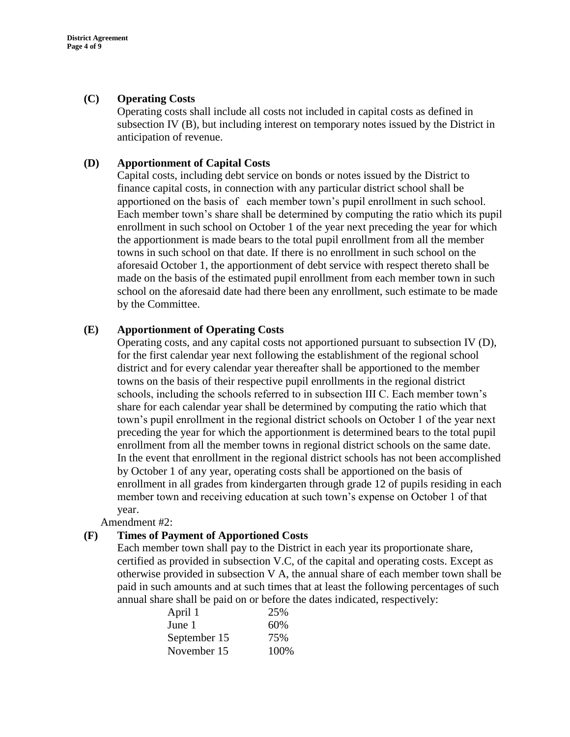#### **(C) Operating Costs**

Operating costs shall include all costs not included in capital costs as defined in subsection IV (B), but including interest on temporary notes issued by the District in anticipation of revenue.

#### **(D) Apportionment of Capital Costs**

Capital costs, including debt service on bonds or notes issued by the District to finance capital costs, in connection with any particular district school shall be apportioned on the basis of each member town's pupil enrollment in such school. Each member town's share shall be determined by computing the ratio which its pupil enrollment in such school on October 1 of the year next preceding the year for which the apportionment is made bears to the total pupil enrollment from all the member towns in such school on that date. If there is no enrollment in such school on the aforesaid October 1, the apportionment of debt service with respect thereto shall be made on the basis of the estimated pupil enrollment from each member town in such school on the aforesaid date had there been any enrollment, such estimate to be made by the Committee.

#### **(E) Apportionment of Operating Costs**

Operating costs, and any capital costs not apportioned pursuant to subsection IV (D), for the first calendar year next following the establishment of the regional school district and for every calendar year thereafter shall be apportioned to the member towns on the basis of their respective pupil enrollments in the regional district schools, including the schools referred to in subsection III C. Each member town's share for each calendar year shall be determined by computing the ratio which that town's pupil enrollment in the regional district schools on October 1 of the year next preceding the year for which the apportionment is determined bears to the total pupil enrollment from all the member towns in regional district schools on the same date. In the event that enrollment in the regional district schools has not been accomplished by October 1 of any year, operating costs shall be apportioned on the basis of enrollment in all grades from kindergarten through grade 12 of pupils residing in each member town and receiving education at such town's expense on October 1 of that year.

Amendment #2:

#### **(F) Times of Payment of Apportioned Costs**

Each member town shall pay to the District in each year its proportionate share, certified as provided in subsection V.C, of the capital and operating costs. Except as otherwise provided in subsection V A, the annual share of each member town shall be paid in such amounts and at such times that at least the following percentages of such annual share shall be paid on or before the dates indicated, respectively:

| April 1      | 25%  |
|--------------|------|
| June 1       | 60%  |
| September 15 | 75%  |
| November 15  | 100% |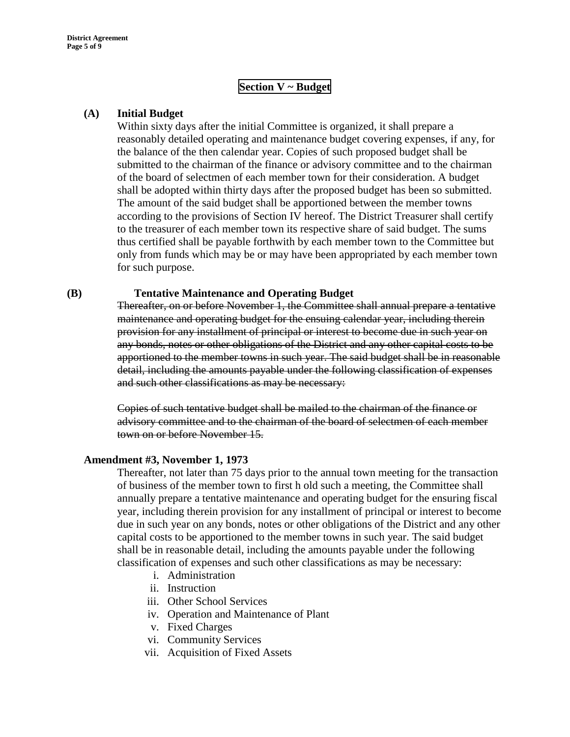## **Section V ~ Budget**

#### **(A) Initial Budget**

Within sixty days after the initial Committee is organized, it shall prepare a reasonably detailed operating and maintenance budget covering expenses, if any, for the balance of the then calendar year. Copies of such proposed budget shall be submitted to the chairman of the finance or advisory committee and to the chairman of the board of selectmen of each member town for their consideration. A budget shall be adopted within thirty days after the proposed budget has been so submitted. The amount of the said budget shall be apportioned between the member towns according to the provisions of Section IV hereof. The District Treasurer shall certify to the treasurer of each member town its respective share of said budget. The sums thus certified shall be payable forthwith by each member town to the Committee but only from funds which may be or may have been appropriated by each member town for such purpose.

#### **(B) Tentative Maintenance and Operating Budget**

Thereafter, on or before November 1, the Committee shall annual prepare a tentative maintenance and operating budget for the ensuing calendar year, including therein provision for any installment of principal or interest to become due in such year on any bonds, notes or other obligations of the District and any other capital costs to be apportioned to the member towns in such year. The said budget shall be in reasonable detail, including the amounts payable under the following classification of expenses and such other classifications as may be necessary:

Copies of such tentative budget shall be mailed to the chairman of the finance or advisory committee and to the chairman of the board of selectmen of each member town on or before November 15.

#### **Amendment #3, November 1, 1973**

Thereafter, not later than 75 days prior to the annual town meeting for the transaction of business of the member town to first h old such a meeting, the Committee shall annually prepare a tentative maintenance and operating budget for the ensuring fiscal year, including therein provision for any installment of principal or interest to become due in such year on any bonds, notes or other obligations of the District and any other capital costs to be apportioned to the member towns in such year. The said budget shall be in reasonable detail, including the amounts payable under the following classification of expenses and such other classifications as may be necessary:

- i. Administration
- ii. Instruction
- iii. Other School Services
- iv. Operation and Maintenance of Plant
- v. Fixed Charges
- vi. Community Services
- vii. Acquisition of Fixed Assets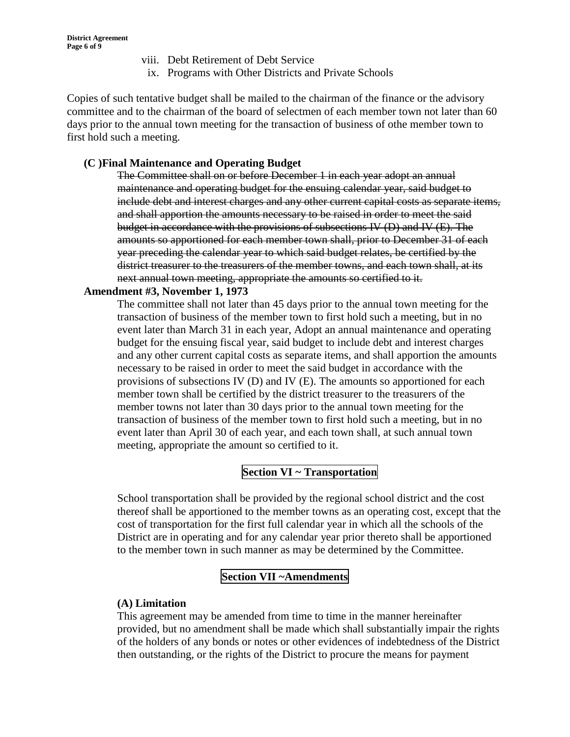- viii. Debt Retirement of Debt Service
- ix. Programs with Other Districts and Private Schools

Copies of such tentative budget shall be mailed to the chairman of the finance or the advisory committee and to the chairman of the board of selectmen of each member town not later than 60 days prior to the annual town meeting for the transaction of business of othe member town to first hold such a meeting.

### **(C )Final Maintenance and Operating Budget**

The Committee shall on or before December 1 in each year adopt an annual maintenance and operating budget for the ensuing calendar year, said budget to include debt and interest charges and any other current capital costs as separate items, and shall apportion the amounts necessary to be raised in order to meet the said budget in accordance with the provisions of subsections IV (D) and IV (E). The amounts so apportioned for each member town shall, prior to December 31 of each year preceding the calendar year to which said budget relates, be certified by the district treasurer to the treasurers of the member towns, and each town shall, at its next annual town meeting, appropriate the amounts so certified to it.

#### **Amendment #3, November 1, 1973**

The committee shall not later than 45 days prior to the annual town meeting for the transaction of business of the member town to first hold such a meeting, but in no event later than March 31 in each year, Adopt an annual maintenance and operating budget for the ensuing fiscal year, said budget to include debt and interest charges and any other current capital costs as separate items, and shall apportion the amounts necessary to be raised in order to meet the said budget in accordance with the provisions of subsections IV (D) and IV (E). The amounts so apportioned for each member town shall be certified by the district treasurer to the treasurers of the member towns not later than 30 days prior to the annual town meeting for the transaction of business of the member town to first hold such a meeting, but in no event later than April 30 of each year, and each town shall, at such annual town meeting, appropriate the amount so certified to it.

## **Section VI ~ Transportation**

School transportation shall be provided by the regional school district and the cost thereof shall be apportioned to the member towns as an operating cost, except that the cost of transportation for the first full calendar year in which all the schools of the District are in operating and for any calendar year prior thereto shall be apportioned to the member town in such manner as may be determined by the Committee.

## **Section VII ~Amendments**

#### **(A) Limitation**

This agreement may be amended from time to time in the manner hereinafter provided, but no amendment shall be made which shall substantially impair the rights of the holders of any bonds or notes or other evidences of indebtedness of the District then outstanding, or the rights of the District to procure the means for payment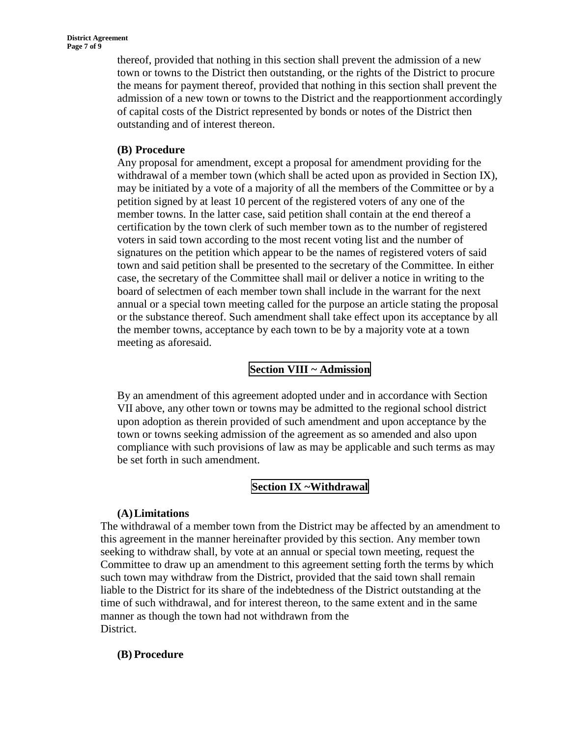thereof, provided that nothing in this section shall prevent the admission of a new town or towns to the District then outstanding, or the rights of the District to procure the means for payment thereof, provided that nothing in this section shall prevent the admission of a new town or towns to the District and the reapportionment accordingly of capital costs of the District represented by bonds or notes of the District then outstanding and of interest thereon.

### **(B) Procedure**

Any proposal for amendment, except a proposal for amendment providing for the withdrawal of a member town (which shall be acted upon as provided in Section IX), may be initiated by a vote of a majority of all the members of the Committee or by a petition signed by at least 10 percent of the registered voters of any one of the member towns. In the latter case, said petition shall contain at the end thereof a certification by the town clerk of such member town as to the number of registered voters in said town according to the most recent voting list and the number of signatures on the petition which appear to be the names of registered voters of said town and said petition shall be presented to the secretary of the Committee. In either case, the secretary of the Committee shall mail or deliver a notice in writing to the board of selectmen of each member town shall include in the warrant for the next annual or a special town meeting called for the purpose an article stating the proposal or the substance thereof. Such amendment shall take effect upon its acceptance by all the member towns, acceptance by each town to be by a majority vote at a town meeting as aforesaid.

## **Section VIII ~ Admission**

By an amendment of this agreement adopted under and in accordance with Section VII above, any other town or towns may be admitted to the regional school district upon adoption as therein provided of such amendment and upon acceptance by the town or towns seeking admission of the agreement as so amended and also upon compliance with such provisions of law as may be applicable and such terms as may be set forth in such amendment.

## **Section IX ~Withdrawal**

#### **(A)Limitations**

The withdrawal of a member town from the District may be affected by an amendment to this agreement in the manner hereinafter provided by this section. Any member town seeking to withdraw shall, by vote at an annual or special town meeting, request the Committee to draw up an amendment to this agreement setting forth the terms by which such town may withdraw from the District, provided that the said town shall remain liable to the District for its share of the indebtedness of the District outstanding at the time of such withdrawal, and for interest thereon, to the same extent and in the same manner as though the town had not withdrawn from the District.

#### **(B) Procedure**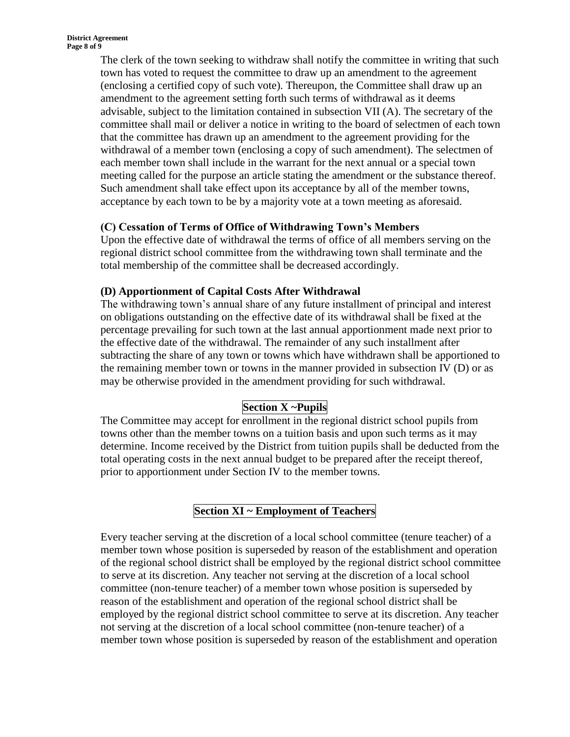The clerk of the town seeking to withdraw shall notify the committee in writing that such town has voted to request the committee to draw up an amendment to the agreement (enclosing a certified copy of such vote). Thereupon, the Committee shall draw up an amendment to the agreement setting forth such terms of withdrawal as it deems advisable, subject to the limitation contained in subsection VII (A). The secretary of the committee shall mail or deliver a notice in writing to the board of selectmen of each town that the committee has drawn up an amendment to the agreement providing for the withdrawal of a member town (enclosing a copy of such amendment). The selectmen of each member town shall include in the warrant for the next annual or a special town meeting called for the purpose an article stating the amendment or the substance thereof. Such amendment shall take effect upon its acceptance by all of the member towns, acceptance by each town to be by a majority vote at a town meeting as aforesaid.

## **(C) Cessation of Terms of Office of Withdrawing Town's Members**

Upon the effective date of withdrawal the terms of office of all members serving on the regional district school committee from the withdrawing town shall terminate and the total membership of the committee shall be decreased accordingly.

## **(D) Apportionment of Capital Costs After Withdrawal**

The withdrawing town's annual share of any future installment of principal and interest on obligations outstanding on the effective date of its withdrawal shall be fixed at the percentage prevailing for such town at the last annual apportionment made next prior to the effective date of the withdrawal. The remainder of any such installment after subtracting the share of any town or towns which have withdrawn shall be apportioned to the remaining member town or towns in the manner provided in subsection IV (D) or as may be otherwise provided in the amendment providing for such withdrawal.

## **Section X ~Pupils**

The Committee may accept for enrollment in the regional district school pupils from towns other than the member towns on a tuition basis and upon such terms as it may determine. Income received by the District from tuition pupils shall be deducted from the total operating costs in the next annual budget to be prepared after the receipt thereof, prior to apportionment under Section IV to the member towns.

# **Section XI ~ Employment of Teachers**

Every teacher serving at the discretion of a local school committee (tenure teacher) of a member town whose position is superseded by reason of the establishment and operation of the regional school district shall be employed by the regional district school committee to serve at its discretion. Any teacher not serving at the discretion of a local school committee (non-tenure teacher) of a member town whose position is superseded by reason of the establishment and operation of the regional school district shall be employed by the regional district school committee to serve at its discretion. Any teacher not serving at the discretion of a local school committee (non-tenure teacher) of a member town whose position is superseded by reason of the establishment and operation